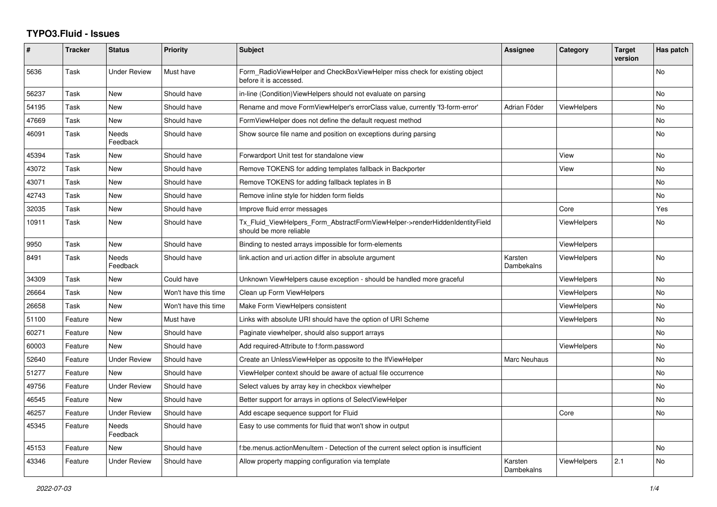## **TYPO3.Fluid - Issues**

| #     | <b>Tracker</b> | <b>Status</b>            | <b>Priority</b>      | <b>Subject</b>                                                                                         | Assignee              | Category           | <b>Target</b><br>version | Has patch |
|-------|----------------|--------------------------|----------------------|--------------------------------------------------------------------------------------------------------|-----------------------|--------------------|--------------------------|-----------|
| 5636  | Task           | Under Review             | Must have            | Form RadioViewHelper and CheckBoxViewHelper miss check for existing object<br>before it is accessed.   |                       |                    |                          | <b>No</b> |
| 56237 | Task           | New                      | Should have          | in-line (Condition) View Helpers should not evaluate on parsing                                        |                       |                    |                          | <b>No</b> |
| 54195 | Task           | New                      | Should have          | Rename and move FormViewHelper's errorClass value, currently 'f3-form-error'                           | Adrian Föder          | <b>ViewHelpers</b> |                          | No        |
| 47669 | Task           | New                      | Should have          | FormViewHelper does not define the default request method                                              |                       |                    |                          | No        |
| 46091 | Task           | <b>Needs</b><br>Feedback | Should have          | Show source file name and position on exceptions during parsing                                        |                       |                    |                          | <b>No</b> |
| 45394 | Task           | New                      | Should have          | Forwardport Unit test for standalone view                                                              |                       | View               |                          | No.       |
| 43072 | Task           | <b>New</b>               | Should have          | Remove TOKENS for adding templates fallback in Backporter                                              |                       | View               |                          | <b>No</b> |
| 43071 | Task           | <b>New</b>               | Should have          | Remove TOKENS for adding fallback teplates in B                                                        |                       |                    |                          | <b>No</b> |
| 42743 | Task           | New                      | Should have          | Remove inline style for hidden form fields                                                             |                       |                    |                          | No        |
| 32035 | Task           | <b>New</b>               | Should have          | Improve fluid error messages                                                                           |                       | Core               |                          | Yes       |
| 10911 | Task           | <b>New</b>               | Should have          | Tx Fluid ViewHelpers Form AbstractFormViewHelper->renderHiddenIdentityField<br>should be more reliable |                       | <b>ViewHelpers</b> |                          | <b>No</b> |
| 9950  | Task           | New                      | Should have          | Binding to nested arrays impossible for form-elements                                                  |                       | <b>ViewHelpers</b> |                          |           |
| 8491  | Task           | Needs<br>Feedback        | Should have          | link.action and uri.action differ in absolute argument                                                 | Karsten<br>Dambekalns | <b>ViewHelpers</b> |                          | <b>No</b> |
| 34309 | Task           | New                      | Could have           | Unknown ViewHelpers cause exception - should be handled more graceful                                  |                       | ViewHelpers        |                          | No        |
| 26664 | Task           | New                      | Won't have this time | Clean up Form ViewHelpers                                                                              |                       | <b>ViewHelpers</b> |                          | <b>No</b> |
| 26658 | Task           | New                      | Won't have this time | Make Form ViewHelpers consistent                                                                       |                       | <b>ViewHelpers</b> |                          | <b>No</b> |
| 51100 | Feature        | New                      | Must have            | Links with absolute URI should have the option of URI Scheme                                           |                       | <b>ViewHelpers</b> |                          | No        |
| 60271 | Feature        | <b>New</b>               | Should have          | Paginate viewhelper, should also support arrays                                                        |                       |                    |                          | <b>No</b> |
| 60003 | Feature        | <b>New</b>               | Should have          | Add required-Attribute to f:form.password                                                              |                       | ViewHelpers        |                          | <b>No</b> |
| 52640 | Feature        | <b>Under Review</b>      | Should have          | Create an UnlessViewHelper as opposite to the IfViewHelper                                             | Marc Neuhaus          |                    |                          | <b>No</b> |
| 51277 | Feature        | New                      | Should have          | ViewHelper context should be aware of actual file occurrence                                           |                       |                    |                          | <b>No</b> |
| 49756 | Feature        | <b>Under Review</b>      | Should have          | Select values by array key in checkbox viewhelper                                                      |                       |                    |                          | <b>No</b> |
| 46545 | Feature        | <b>New</b>               | Should have          | Better support for arrays in options of SelectViewHelper                                               |                       |                    |                          | <b>No</b> |
| 46257 | Feature        | <b>Under Review</b>      | Should have          | Add escape sequence support for Fluid                                                                  |                       | Core               |                          | No        |
| 45345 | Feature        | <b>Needs</b><br>Feedback | Should have          | Easy to use comments for fluid that won't show in output                                               |                       |                    |                          |           |
| 45153 | Feature        | New                      | Should have          | f:be.menus.actionMenuItem - Detection of the current select option is insufficient                     |                       |                    |                          | <b>No</b> |
| 43346 | Feature        | Under Review             | Should have          | Allow property mapping configuration via template                                                      | Karsten<br>Dambekalns | ViewHelpers        | 2.1                      | No        |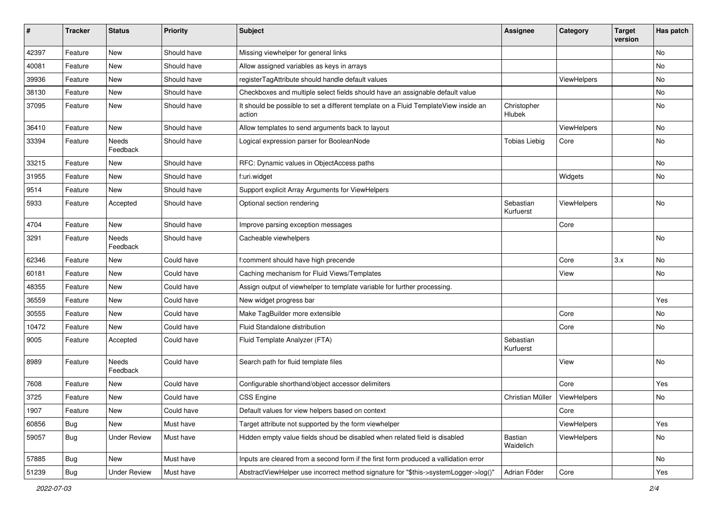| $\sharp$ | <b>Tracker</b> | <b>Status</b>       | <b>Priority</b> | Subject                                                                                       | <b>Assignee</b>        | Category    | <b>Target</b><br>version | Has patch |
|----------|----------------|---------------------|-----------------|-----------------------------------------------------------------------------------------------|------------------------|-------------|--------------------------|-----------|
| 42397    | Feature        | New                 | Should have     | Missing viewhelper for general links                                                          |                        |             |                          | <b>No</b> |
| 40081    | Feature        | New                 | Should have     | Allow assigned variables as keys in arrays                                                    |                        |             |                          | No        |
| 39936    | Feature        | New                 | Should have     | registerTagAttribute should handle default values                                             |                        | ViewHelpers |                          | No        |
| 38130    | Feature        | New                 | Should have     | Checkboxes and multiple select fields should have an assignable default value                 |                        |             |                          | No        |
| 37095    | Feature        | New                 | Should have     | It should be possible to set a different template on a Fluid TemplateView inside an<br>action | Christopher<br>Hlubek  |             |                          | No        |
| 36410    | Feature        | <b>New</b>          | Should have     | Allow templates to send arguments back to layout                                              |                        | ViewHelpers |                          | No        |
| 33394    | Feature        | Needs<br>Feedback   | Should have     | Logical expression parser for BooleanNode                                                     | <b>Tobias Liebig</b>   | Core        |                          | No        |
| 33215    | Feature        | New                 | Should have     | RFC: Dynamic values in ObjectAccess paths                                                     |                        |             |                          | No        |
| 31955    | Feature        | New                 | Should have     | f:uri.widget                                                                                  |                        | Widgets     |                          | No        |
| 9514     | Feature        | New                 | Should have     | Support explicit Array Arguments for ViewHelpers                                              |                        |             |                          |           |
| 5933     | Feature        | Accepted            | Should have     | Optional section rendering                                                                    | Sebastian<br>Kurfuerst | ViewHelpers |                          | <b>No</b> |
| 4704     | Feature        | New                 | Should have     | Improve parsing exception messages                                                            |                        | Core        |                          |           |
| 3291     | Feature        | Needs<br>Feedback   | Should have     | Cacheable viewhelpers                                                                         |                        |             |                          | No        |
| 62346    | Feature        | New                 | Could have      | f:comment should have high precende                                                           |                        | Core        | 3.x                      | <b>No</b> |
| 60181    | Feature        | New                 | Could have      | Caching mechanism for Fluid Views/Templates                                                   |                        | View        |                          | No        |
| 48355    | Feature        | New                 | Could have      | Assign output of viewhelper to template variable for further processing.                      |                        |             |                          |           |
| 36559    | Feature        | New                 | Could have      | New widget progress bar                                                                       |                        |             |                          | Yes       |
| 30555    | Feature        | New                 | Could have      | Make TagBuilder more extensible                                                               |                        | Core        |                          | No        |
| 10472    | Feature        | <b>New</b>          | Could have      | Fluid Standalone distribution                                                                 |                        | Core        |                          | No        |
| 9005     | Feature        | Accepted            | Could have      | Fluid Template Analyzer (FTA)                                                                 | Sebastian<br>Kurfuerst |             |                          |           |
| 8989     | Feature        | Needs<br>Feedback   | Could have      | Search path for fluid template files                                                          |                        | View        |                          | <b>No</b> |
| 7608     | Feature        | New                 | Could have      | Configurable shorthand/object accessor delimiters                                             |                        | Core        |                          | Yes       |
| 3725     | Feature        | New                 | Could have      | CSS Engine                                                                                    | Christian Müller       | ViewHelpers |                          | No        |
| 1907     | Feature        | New                 | Could have      | Default values for view helpers based on context                                              |                        | Core        |                          |           |
| 60856    | Bug            | New                 | Must have       | Target attribute not supported by the form viewhelper                                         |                        | ViewHelpers |                          | Yes       |
| 59057    | <b>Bug</b>     | <b>Under Review</b> | Must have       | Hidden empty value fields shoud be disabled when related field is disabled                    | Bastian<br>Waidelich   | ViewHelpers |                          | No        |
| 57885    | Bug            | New                 | Must have       | Inputs are cleared from a second form if the first form produced a vallidation error          |                        |             |                          | No        |
| 51239    | <b>Bug</b>     | <b>Under Review</b> | Must have       | AbstractViewHelper use incorrect method signature for "\$this->systemLogger->log()"           | Adrian Föder           | Core        |                          | Yes       |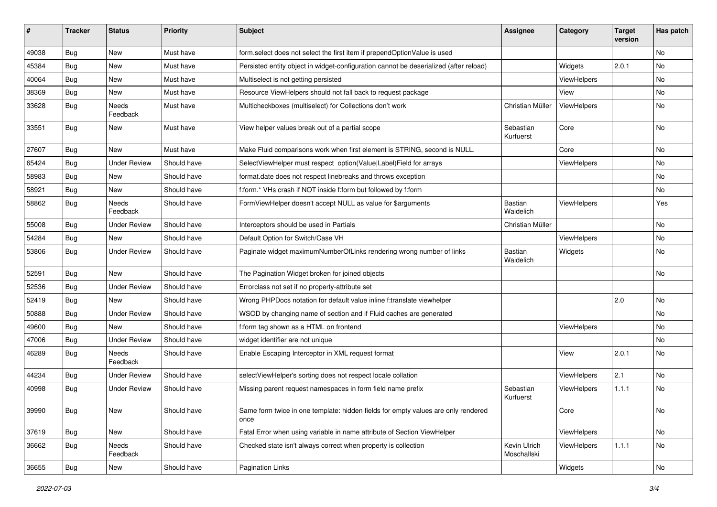| ∦     | <b>Tracker</b> | <b>Status</b>       | <b>Priority</b> | Subject                                                                                   | <b>Assignee</b>             | Category           | <b>Target</b><br>version | Has patch |
|-------|----------------|---------------------|-----------------|-------------------------------------------------------------------------------------------|-----------------------------|--------------------|--------------------------|-----------|
| 49038 | Bug            | New                 | Must have       | form.select does not select the first item if prependOptionValue is used                  |                             |                    |                          | <b>No</b> |
| 45384 | Bug            | New                 | Must have       | Persisted entity object in widget-configuration cannot be deserialized (after reload)     |                             | Widgets            | 2.0.1                    | <b>No</b> |
| 40064 | <b>Bug</b>     | New                 | Must have       | Multiselect is not getting persisted                                                      |                             | <b>ViewHelpers</b> |                          | No        |
| 38369 | Bug            | <b>New</b>          | Must have       | Resource ViewHelpers should not fall back to request package                              |                             | View               |                          | <b>No</b> |
| 33628 | <b>Bug</b>     | Needs<br>Feedback   | Must have       | Multicheckboxes (multiselect) for Collections don't work                                  | Christian Müller            | ViewHelpers        |                          | No        |
| 33551 | Bug            | New                 | Must have       | View helper values break out of a partial scope                                           | Sebastian<br>Kurfuerst      | Core               |                          | <b>No</b> |
| 27607 | Bug            | <b>New</b>          | Must have       | Make Fluid comparisons work when first element is STRING, second is NULL.                 |                             | Core               |                          | <b>No</b> |
| 65424 | <b>Bug</b>     | <b>Under Review</b> | Should have     | SelectViewHelper must respect option(Value Label)Field for arrays                         |                             | ViewHelpers        |                          | No        |
| 58983 | <b>Bug</b>     | New                 | Should have     | format.date does not respect linebreaks and throws exception                              |                             |                    |                          | No        |
| 58921 | Bug            | New                 | Should have     | f:form.* VHs crash if NOT inside f:form but followed by f:form                            |                             |                    |                          | No        |
| 58862 | <b>Bug</b>     | Needs<br>Feedback   | Should have     | FormViewHelper doesn't accept NULL as value for \$arguments                               | Bastian<br>Waidelich        | ViewHelpers        |                          | Yes       |
| 55008 | Bug            | <b>Under Review</b> | Should have     | Interceptors should be used in Partials                                                   | Christian Müller            |                    |                          | No        |
| 54284 | Bug            | New                 | Should have     | Default Option for Switch/Case VH                                                         |                             | ViewHelpers        |                          | No        |
| 53806 | Bug            | <b>Under Review</b> | Should have     | Paginate widget maximumNumberOfLinks rendering wrong number of links                      | <b>Bastian</b><br>Waidelich | Widgets            |                          | <b>No</b> |
| 52591 | Bug            | <b>New</b>          | Should have     | The Pagination Widget broken for joined objects                                           |                             |                    |                          | <b>No</b> |
| 52536 | Bug            | <b>Under Review</b> | Should have     | Errorclass not set if no property-attribute set                                           |                             |                    |                          |           |
| 52419 | Bug            | New                 | Should have     | Wrong PHPDocs notation for default value inline f:translate viewhelper                    |                             |                    | 2.0                      | No        |
| 50888 | Bug            | <b>Under Review</b> | Should have     | WSOD by changing name of section and if Fluid caches are generated                        |                             |                    |                          | <b>No</b> |
| 49600 | Bug            | New                 | Should have     | f:form tag shown as a HTML on frontend                                                    |                             | ViewHelpers        |                          | No        |
| 47006 | <b>Bug</b>     | <b>Under Review</b> | Should have     | widget identifier are not unique                                                          |                             |                    |                          | <b>No</b> |
| 46289 | Bug            | Needs<br>Feedback   | Should have     | Enable Escaping Interceptor in XML request format                                         |                             | View               | 2.0.1                    | <b>No</b> |
| 44234 | <b>Bug</b>     | <b>Under Review</b> | Should have     | selectViewHelper's sorting does not respect locale collation                              |                             | ViewHelpers        | 2.1                      | No        |
| 40998 | Bug            | <b>Under Review</b> | Should have     | Missing parent request namespaces in form field name prefix                               | Sebastian<br>Kurfuerst      | ViewHelpers        | 1.1.1                    | No        |
| 39990 | <b>Bug</b>     | New                 | Should have     | Same form twice in one template: hidden fields for empty values are only rendered<br>once |                             | Core               |                          | No        |
| 37619 | Bug            | New                 | Should have     | Fatal Error when using variable in name attribute of Section ViewHelper                   |                             | ViewHelpers        |                          | No        |
| 36662 | Bug            | Needs<br>Feedback   | Should have     | Checked state isn't always correct when property is collection                            | Kevin Ulrich<br>Moschallski | ViewHelpers        | 1.1.1                    | No        |
| 36655 | Bug            | New                 | Should have     | <b>Pagination Links</b>                                                                   |                             | Widgets            |                          | No        |